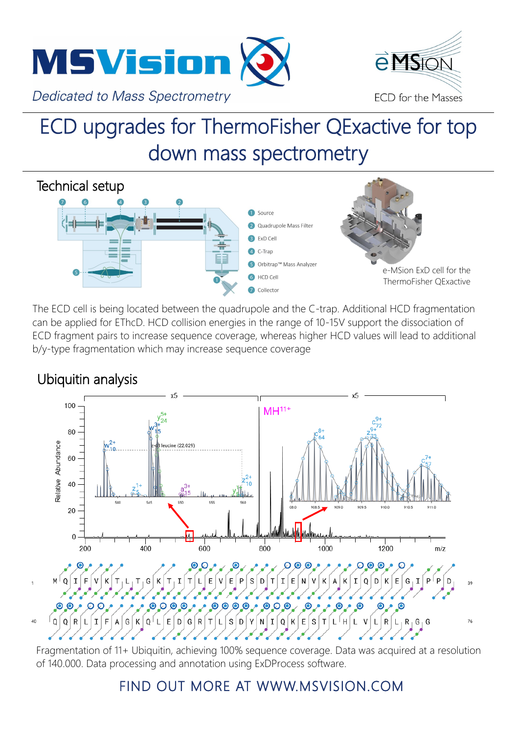



## ECD upgrades for ThermoFisher QExactive for top down mass spectrometry



The ECD cell is being located between the quadrupole and the C-trap. Additional HCD fragmentation can be applied for EThcD. HCD collision energies in the range of 10-15V support the dissociation of ECD fragment pairs to increase sequence coverage, whereas higher HCD values will lead to additional b/y-type fragmentation which may increase sequence coverage

## Ubiquitin analysis

40



analytical Control Control Control Control Control Control Control Control Control Control Control Control Control Control Control Control Control Control Control Control Control Control Control Control Control Control Con Fragmentation of 11+ Ubiquitin, achieving 100% sequence coverage. Data was acquired at a resolution of 140.000. Data processing and annotation using ExDProcess software.

## FIND OUT MORE AT WWW.MSVISION.COM